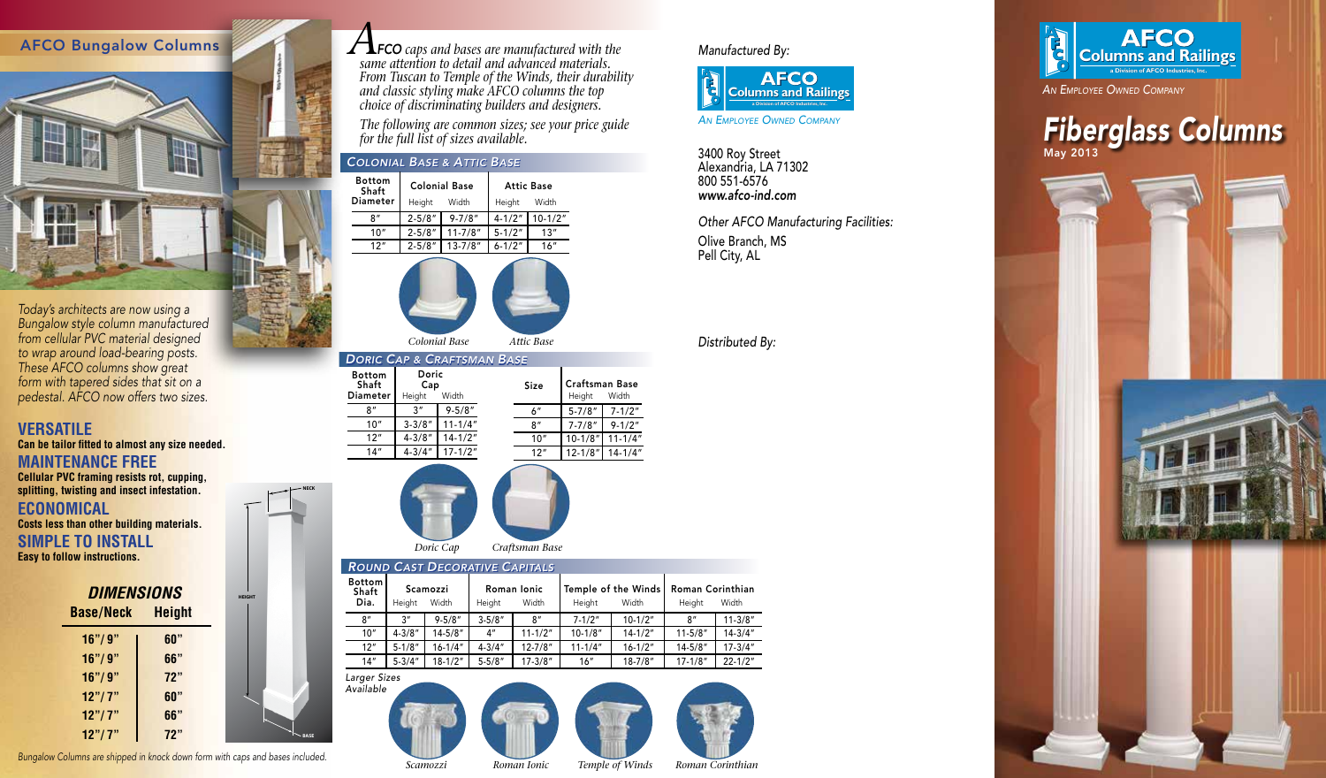



*Bungalow style column manufactured from cellular PVC material designed to wrap around load-bearing posts. These AFCO columns show great form with tapered sides that sit on a pedestal. AFCO now offers two sizes.*

## **VERSATILE Can be tailor fitted to almost any size needed. MAINTENANCE FREE Cellular PVC framing resists rot, cupping, splitting, twisting and insect infestation. ECONOMICAL**

**Costs less than other building materials.**

## **SIMPLE TO INSTALL Easy to follow instructions.**

| <b>DIMENSIONS</b><br><b>Base/Neck</b> | <b>Height</b> |  |
|---------------------------------------|---------------|--|
| 16''/9''                              | 60"           |  |
| 16''/9''                              | 66"           |  |
| 16" / 9"                              | 72"           |  |
| 12" / 7"                              | 60"           |  |
| 12" / 7"                              | 66"           |  |
| 12" / 7"                              | 72"           |  |

*Bungalow Columns are shipped in knock down form with caps and bases included.*

*A FCO caps and bases are manufactured with the same attention to detail and advanced materials. From Tuscan to Temple of the Winds, their durability and classic styling make AFCO columns the top choice of discriminating builders and designers.*

*The following are common sizes; see your price guide for the full list of sizes available.*

## *COLONIAL BASE & ATTIC BASE* 3400 Roy Street *COLONIAL & ATTIC BASE*

| <b>Bottom</b><br>Shaft |            | <b>Colonial Base</b> | <b>Attic Base</b> |           |  |  |  |
|------------------------|------------|----------------------|-------------------|-----------|--|--|--|
| Diameter               | Height     | Width                | Height            | Width     |  |  |  |
| ጸ"                     | $2 - 5/8"$ | $9 - 7/8"$           | $4 - 1/2"$        | $10-1/2"$ |  |  |  |
| 10"                    | $2 - 5/8"$ | $11 - 7/8"$          | $5 - 1/2"$        | 13"       |  |  |  |
| 12"                    | $2 - 5/8"$ | $13 - 7/8"$          | $6 - 1/2"$        | 16"       |  |  |  |
|                        |            |                      |                   |           |  |  |  |



*Attic Base Colonial Base*

| <b>DORIC CAP &amp; CRAFTSMAN BASE</b>     |                                 |             |  |             |                                 |             |  |  |  |  |
|-------------------------------------------|---------------------------------|-------------|--|-------------|---------------------------------|-------------|--|--|--|--|
| <b>Bottom</b><br>Shaft<br><b>Diameter</b> | Doric<br>Cap<br>Width<br>Height |             |  | <b>Size</b> | <b>Craftsman Base</b><br>Height | Width       |  |  |  |  |
| 8″                                        | 3 <sup>''</sup>                 | $9 - 5/8"$  |  | 6"          | $5 - 7/8"$                      | $7 - 1/2"$  |  |  |  |  |
| 10"                                       | $3 - 3/8"$                      | $11 - 1/4"$ |  | 8''         | $7 - 7/8"$                      | $9 - 1/2"$  |  |  |  |  |
| 12"                                       | $4 - 3/8"$                      | $14 - 1/2"$ |  | 10"         | $10 - 1/8"$                     | $11 - 1/4"$ |  |  |  |  |
| 14"                                       | $4 - 3/4"$                      | $17 - 1/2"$ |  | 12"         | $12 - 1/8"$                     | $14 - 1/4"$ |  |  |  |  |
|                                           |                                 |             |  |             |                                 |             |  |  |  |  |



**NECK**

**BASE**

*Available*

**HEIGHT**

| <b>Bottom</b><br>Shaft | Scamozzi    |             | Roman Ionic |             | Temple of the Winds |             | <b>Roman Corinthian</b> |             |
|------------------------|-------------|-------------|-------------|-------------|---------------------|-------------|-------------------------|-------------|
| Dia.                   | Height      | Width       | Height      | Width       | Height              | Width       | Height                  | Width       |
| 8''                    | 3"          | $9 - 5/8"$  | $3 - 5/8"$  | 8''         | $7 - 1/2"$          | $10-1/2"$   | 8''                     | $11 - 3/8"$ |
| 10"                    | $4 - 3/8"$  | $14 - 5/8"$ | 4"          | $11 - 1/2"$ | $10 - 1/8"$         | $14 - 1/2"$ | $11 - 5/8"$             | $14 - 3/4"$ |
| 12"                    | $5 - 1/8"$  | $16 - 1/4"$ | $4 - 3/4"$  | $12 - 7/8"$ | $11 - 1/4"$         | $16 - 1/2"$ | $14 - 5/8"$             | $17 - 3/4"$ |
| 14"                    | $5 - 3/4''$ | $18 - 1/2"$ | $5 - 5/8"$  | $17 - 3/8"$ | 16"                 | $18 - 7/8"$ | $17 - 1/8"$             | $22 - 1/2"$ |



*Manufactured By:*



*An Employee Owned Company*

Alexandria, LA 71302 800 551-6576 *www.afco-ind.com*

*Other AFCO Manufacturing Facilities:* Olive Branch, MS Pell City, AL

## *Distributed By:*